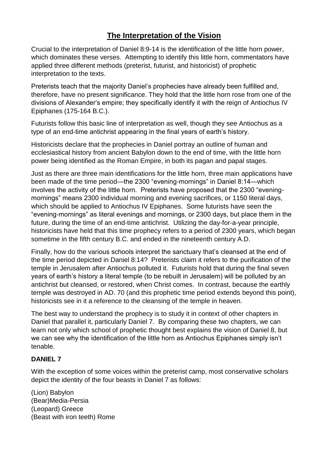# **The Interpretation of the Vision**

Crucial to the interpretation of Daniel 8:9-14 is the identification of the little horn power, which dominates these verses. Attempting to identify this little horn, commentators have applied three different methods (preterist, futurist, and historicist) of prophetic interpretation to the texts.

Preterists teach that the majority Daniel's prophecies have already been fulfilled and, therefore, have no present significance. They hold that the little horn rose from one of the divisions of Alexander's empire; they specifically identify it with the reign of Antiochus IV Epiphanes (175-164 B.C.).

Futurists follow this basic line of interpretation as well, though they see Antiochus as a type of an end-time antichrist appearing in the final years of earth's history.

Historicists declare that the prophecies in Daniel portray an outline of human and ecclesiastical history from ancient Babylon down to the end of time, with the little horn power being identified as the Roman Empire, in both its pagan and papal stages.

Just as there are three main identifications for the little horn, three main applications have been made of the time period—the 2300 "evening-mornings" in Daniel 8:14—which involves the activity of the little horn. Preterists have proposed that the 2300 "eveningmornings" means 2300 individual morning and evening sacrifices, or 1150 literal days, which should be applied to Antiochus IV Epiphanes. Some futurists have seen the "evening-mornings" as literal evenings and mornings, or 2300 days, but place them in the future, during the time of an end-time antichrist. Utilizing the day-for-a-year principle, historicists have held that this time prophecy refers to a period of 2300 years, which began sometime in the fifth century B.C. and ended in the nineteenth century A.D.

Finally, how do the various schools interpret the sanctuary that's cleansed at the end of the time period depicted in Daniel 8:14? Preterists claim it refers to the purification of the temple in Jerusalem after Antiochus polluted it. Futurists hold that during the final seven years of earth's history a literal temple (to be rebuilt in Jerusalem) will be polluted by an antichrist but cleansed, or restored, when Christ comes. In contrast, because the earthly temple was destroyed in AD. 70 (and this prophetic time period extends beyond this point), historicists see in it a reference to the cleansing of the temple in heaven.

The best way to understand the prophecy is to study it in context of other chapters in Daniel that parallel it, particularly Daniel 7. By comparing these two chapters, we can learn not only which school of prophetic thought best explains the vision of Daniel 8, but we can see why the identification of the little horn as Antiochus Epiphanes simply isn't tenable.

## **DANIEL 7**

With the exception of some voices within the preterist camp, most conservative scholars depict the identity of the four beasts in Daniel 7 as follows:

(Lion) Babylon (Bear)Media-Persia (Leopard) Greece (Beast with iron teeth) Rome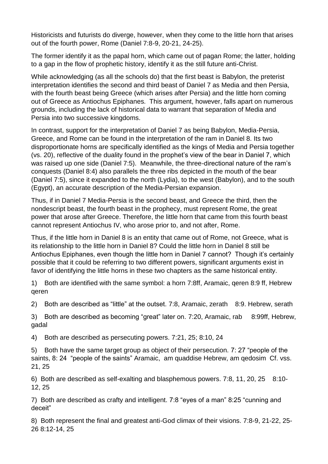Historicists and futurists do diverge, however, when they come to the little horn that arises out of the fourth power, Rome (Daniel 7:8-9, 20-21, 24-25).

The former identify it as the papal horn, which came out of pagan Rome; the latter, holding to a gap in the flow of prophetic history, identify it as the still future anti-Christ.

While acknowledging (as all the schools do) that the first beast is Babylon, the preterist interpretation identifies the second and third beast of Daniel 7 as Media and then Persia, with the fourth beast being Greece (which arises after Persia) and the little horn coming out of Greece as Antiochus Epiphanes. This argument, however, falls apart on numerous grounds, including the lack of historical data to warrant that separation of Media and Persia into two successive kingdoms.

In contrast, support for the interpretation of Daniel 7 as being Babylon, Media-Persia, Greece, and Rome can be found in the interpretation of the ram in Daniel 8. Its two disproportionate horns are specifically identified as the kings of Media and Persia together (vs. 20), reflective of the duality found in the prophet's view of the bear in Daniel 7, which was raised up one side (Daniel 7:5). Meanwhile, the three-directional nature of the ram's conquests (Daniel 8:4) also parallels the three ribs depicted in the mouth of the bear (Daniel 7:5), since it expanded to the north (Lydia), to the west (Babylon), and to the south (Egypt), an accurate description of the Media-Persian expansion.

Thus, if in Daniel 7 Media-Persia is the second beast, and Greece the third, then the nondescript beast, the fourth beast in the prophecy, must represent Rome, the great power that arose after Greece. Therefore, the little horn that came from this fourth beast cannot represent Antiochus IV, who arose prior to, and not after, Rome.

Thus, if the little horn in Daniel 8 is an entity that came out of Rome, not Greece, what is its relationship to the little horn in Daniel 8? Could the little horn in Daniel 8 still be Antiochus Epiphanes, even though the little horn in Daniel 7 cannot? Though it's certainly possible that it could be referring to two different powers, significant arguments exist in favor of identifying the little horns in these two chapters as the same historical entity.

1) Both are identified with the same symbol: a horn 7:8ff, Aramaic, qeren 8:9 ff, Hebrew qeren

2) Both are described as "little" at the outset. 7:8, Aramaic, zerath 8:9. Hebrew, serath

3) Both are described as becoming "great" later on. 7:20, Aramaic, rab 8:99ff, Hebrew, gadal

4) Both are described as persecuting powers. 7:21, 25; 8:10, 24

5) Both have the same target group as object of their persecution. 7: 27 "people of the saints, 8: 24 "people of the saints" Aramaic, am quaddise Hebrew, am qedosim Cf. vss. 21, 25

6) Both are described as self-exalting and blasphemous powers. 7:8, 11, 20, 25 8:10- 12, 25

7) Both are described as crafty and intelligent. 7:8 "eyes of a man" 8:25 "cunning and deceit"

8) Both represent the final and greatest anti-God climax of their visions. 7:8-9, 21-22, 25- 26 8:12-14, 25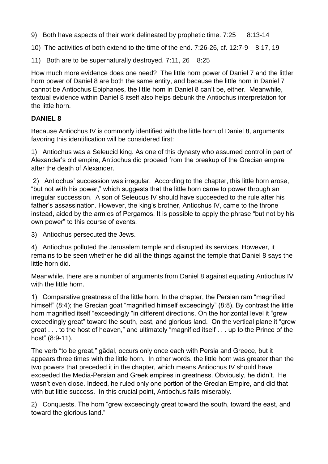9) Both have aspects of their work delineated by prophetic time. 7:25 8:13-14

10) The activities of both extend to the time of the end. 7:26-26, cf. 12:7-9 8:17, 19

11) Both are to be supernaturally destroyed. 7:11, 26 8:25

How much more evidence does one need? The little horn power of Daniel 7 and the littler horn power of Daniel 8 are both the same entity, and because the little horn in Daniel 7 cannot be Antiochus Epiphanes, the little horn in Daniel 8 can't be, either. Meanwhile, textual evidence within Daniel 8 itself also helps debunk the Antiochus interpretation for the little horn.

## **DANIEL 8**

Because Antiochus IV is commonly identified with the little horn of Daniel 8, arguments favoring this identification will be considered first:

1) Antiochus was a Seleucid king. As one of this dynasty who assumed control in part of Alexander's old empire, Antiochus did proceed from the breakup of the Grecian empire after the death of Alexander.

2) Antiochus' succession was irregular. According to the chapter, this little horn arose, "but not with his power," which suggests that the little horn came to power through an irregular succession. A son of Seleucus IV should have succeeded to the rule after his father's assassination. However, the king's brother, Antiochus IV, came to the throne instead, aided by the armies of Pergamos. It is possible to apply the phrase "but not by his own power" to this course of events.

3) Antiochus persecuted the Jews.

4) Antiochus polluted the Jerusalem temple and disrupted its services. However, it remains to be seen whether he did all the things against the temple that Daniel 8 says the little horn did.

Meanwhile, there are a number of arguments from Daniel 8 against equating Antiochus IV with the little horn.

1) Comparative greatness of the little horn. In the chapter, the Persian ram "magnified himself" (8:4); the Grecian goat "magnified himself exceedingly" (8:8). By contrast the little horn magnified itself "exceedingly "in different directions. On the horizontal level it "grew exceedingly great" toward the south, east, and glorious land. On the vertical plane it "grew great . . . to the host of heaven," and ultimately "magnified itself . . . up to the Prince of the host" (8:9-11).

The verb "to be great," gādal, occurs only once each with Persia and Greece, but it appears three times with the little horn. In other words, the little horn was greater than the two powers that preceded it in the chapter, which means Antiochus IV should have exceeded the Media-Persian and Greek empires in greatness. Obviously, he didn't. He wasn't even close. Indeed, he ruled only one portion of the Grecian Empire, and did that with but little success. In this crucial point, Antiochus fails miserably.

2) Conquests. The horn "grew exceedingly great toward the south, toward the east, and toward the glorious land."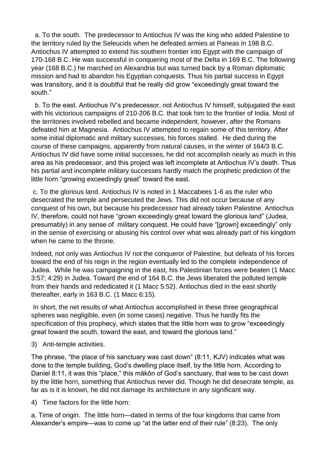a. To the south. The predecessor to Antiochus IV was the king who added Palestine to the territory ruled by the Seleucids when he defeated armies at Paneas in 198 B.C. Antiochus IV attempted to extend his southern frontier into Egypt with the campaign of 170-168 B.C. He was successful in conquering most of the Delta in 169 B.C. The following year (168 B.C.) he marched on Alexandria but was turned back by a Roman diplomatic mission and had to abandon his Egyptian conquests. Thus his partial success in Egypt was transitory, and it is doubtful that he really did grow "exceedingly great toward the south."

 b. To the east. Antiochus IV's predecessor, not Antiochus IV himself, subjugated the east with his victorious campaigns of 210-206 B.C. that took him to the frontier of India. Most of the territories involved rebelled and became independent, however, after the Romans defeated him at Magnesia. Antiochus IV attempted to regain some of this territory. After some initial diplomatic and military successes, his forces stalled. He died during the course of these campaigns, apparently from natural causes, in the winter of 164/3 B.C. Antiochus IV did have some initial successes, he did not accomplish nearly as much in this area as his predecessor, and this project was left incomplete at Antiochus IV's death. Thus his partial and incomplete military successes hardly match the prophetic prediction of the little horn "growing exceedingly great" toward the east.

c. To the glorious land. Antiochus IV is noted in 1 Maccabees 1-6 as the ruler who desecrated the temple and persecuted the Jews. This did not occur because of any conquest of his own, but because his predecessor had already taken Palestine. Antiochus IV, therefore, could not have "grown exceedingly great toward the glorious land" (Judea, presumably) in any sense of military conquest. He could have "[grown] exceedingly" only in the sense of exercising or abusing his control over what was already part of his kingdom when he came to the throne.

Indeed, not only was Antiochus IV not the conqueror of Palestine, but defeats of his forces toward the end of his reign in the region eventually led to the complete independence of Judea. While he was campaigning in the east, his Palestinian forces were beaten (1 Macc 3:57; 4:29) in Judea. Toward the end of 164 B.C. the Jews liberated the polluted temple from their hands and rededicated it (1 Macc 5:52). Antiochus died in the east shortly thereafter, early in 163 B.C. (1 Macc 6:15).

In short, the net results of what Antiochus accomplished in these three geographical spheres was negligible, even (in some cases) negative. Thus he hardly fits the specification of this prophecy, which states that the little horn was to grow "exceedingly great toward the south, toward the east, and toward the glorious land."

3) Anti-temple activities.

The phrase, "the place of his sanctuary was cast down" (8:11, KJV) indicates what was done to the temple building, God's dwelling place itself, by the little horn. According to Daniel 8:11, it was this "place," this mākôn of God's sanctuary, that was to be cast down by the little horn, something that Antiochus never did. Though he did desecrate temple, as far as is it is known, he did not damage its architecture in any significant way.

4) Time factors for the little horn:

a. Time of origin. The little horn—dated in terms of the four kingdoms that came from Alexander's empire—was to come up "at the latter end of their rule" (8:23). The only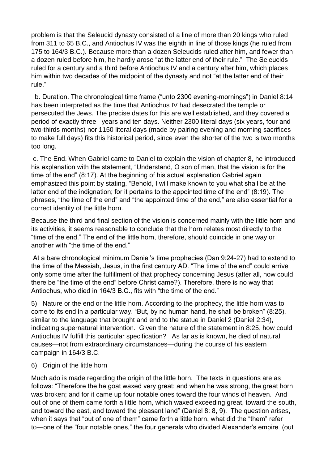problem is that the Seleucid dynasty consisted of a line of more than 20 kings who ruled from 311 to 65 B.C., and Antiochus IV was the eighth in line of those kings (he ruled from 175 to 164/3 B.C.). Because more than a dozen Seleucids ruled after him, and fewer than a dozen ruled before him, he hardly arose "at the latter end of their rule." The Seleucids ruled for a century and a third before Antiochus IV and a century after him, which places him within two decades of the midpoint of the dynasty and not "at the latter end of their rule."

 b. Duration. The chronological time frame ("unto 2300 evening-mornings") in Daniel 8:14 has been interpreted as the time that Antiochus IV had desecrated the temple or persecuted the Jews. The precise dates for this are well established, and they covered a period of exactly three years and ten days. Neither 2300 literal days (six years, four and two-thirds months) nor 1150 literal days (made by pairing evening and morning sacrifices to make full days) fits this historical period, since even the shorter of the two is two months too long.

c. The End. When Gabriel came to Daniel to explain the vision of chapter 8, he introduced his explanation with the statement, "Understand, O son of man, that the vision is for the time of the end" (8:17). At the beginning of his actual explanation Gabriel again emphasized this point by stating, "Behold, I will make known to you what shall be at the latter end of the indignation; for it pertains to the appointed time of the end" (8:19). The phrases, "the time of the end" and "the appointed time of the end," are also essential for a correct identity of the little horn.

Because the third and final section of the vision is concerned mainly with the little horn and its activities, it seems reasonable to conclude that the horn relates most directly to the "time of the end." The end of the little horn, therefore, should coincide in one way or another with "the time of the end."

At a bare chronological minimum Daniel's time prophecies (Dan 9:24-27) had to extend to the time of the Messiah, Jesus, in the first century AD. "The time of the end" could arrive only some time after the fulfillment of that prophecy concerning Jesus (after all, how could there be "the time of the end" before Christ came?). Therefore, there is no way that Antiochus, who died in 164/3 B.C., fits with "the time of the end."

5) Nature or the end or the little horn. According to the prophecy, the little horn was to come to its end in a particular way. "But, by no human hand, he shall be broken" (8:25), similar to the language that brought and end to the statue in Daniel 2 (Daniel 2:34), indicating supernatural intervention. Given the nature of the statement in 8:25, how could Antiochus IV fulfill this particular specification? As far as is known, he died of natural causes—not from extraordinary circumstances—during the course of his eastern campaign in 164/3 B.C.

#### 6) Origin of the little horn

Much ado is made regarding the origin of the little horn. The texts in questions are as follows: "Therefore the he goat waxed very great: and when he was strong, the great horn was broken; and for it came up four notable ones toward the four winds of heaven. And out of one of them came forth a little horn, which waxed exceeding great, toward the south, and toward the east, and toward the pleasant land" (Daniel 8: 8, 9). The question arises, when it says that "out of one of them" came forth a little horn, what did the "them" refer to—one of the "four notable ones," the four generals who divided Alexander's empire (out